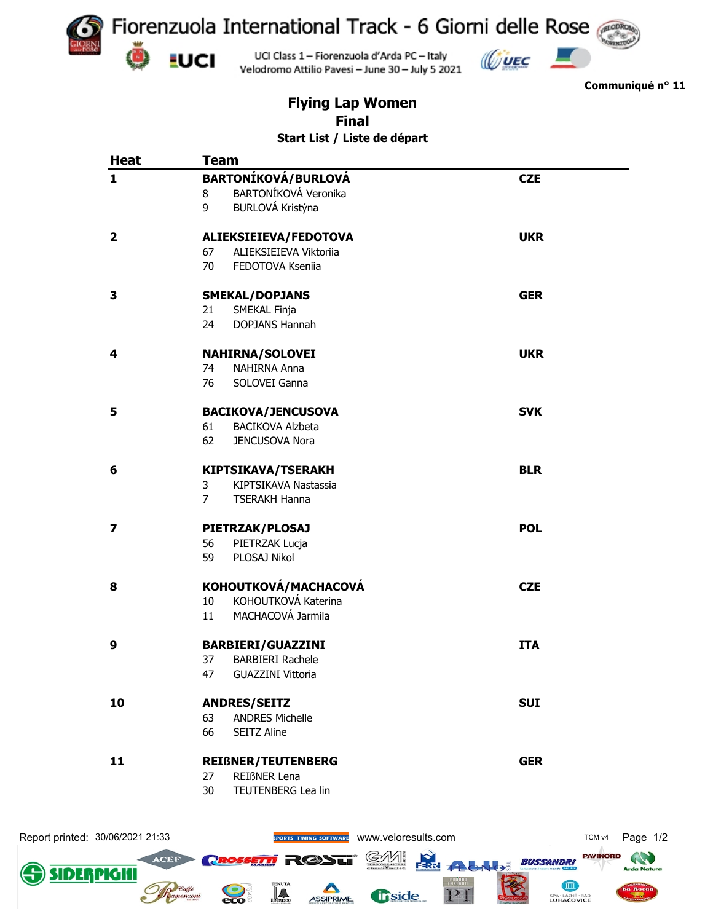



**Communiqué n° 11**

## **Flying Lap Women Final Start List / Liste de départ**

Velodromo Attilio Pavesi - June 30 - July 5 2021

| <b>Heat</b>             | <b>Team</b>                            |            |
|-------------------------|----------------------------------------|------------|
| $\mathbf{1}$            | <b>BARTONÍKOVÁ/BURLOVÁ</b>             | <b>CZE</b> |
|                         | BARTONÍKOVÁ Veronika<br>8              |            |
|                         | BURLOVÁ Kristýna<br>9                  |            |
| $\overline{\mathbf{2}}$ | ALIEKSIEIEVA/FEDOTOVA                  | <b>UKR</b> |
|                         | 67<br>ALIEKSIEIEVA Viktoriia           |            |
|                         | 70<br>FEDOTOVA Kseniia                 |            |
| 3                       | <b>SMEKAL/DOPJANS</b>                  | <b>GER</b> |
|                         | SMEKAL Finja<br>21                     |            |
|                         | <b>DOPJANS Hannah</b><br>24            |            |
| 4                       | <b>NAHIRNA/SOLOVEI</b>                 | <b>UKR</b> |
|                         | NAHIRNA Anna<br>74                     |            |
|                         | 76<br>SOLOVEI Ganna                    |            |
| 5                       | <b>BACIKOVA/JENCUSOVA</b>              | <b>SVK</b> |
|                         | 61<br><b>BACIKOVA Alzbeta</b>          |            |
|                         | 62<br>JENCUSOVA Nora                   |            |
| 6                       | <b>KIPTSIKAVA/TSERAKH</b>              | <b>BLR</b> |
|                         | 3<br>KIPTSIKAVA Nastassia              |            |
|                         | $\overline{7}$<br><b>TSERAKH Hanna</b> |            |
| $\overline{\mathbf{z}}$ | PIETRZAK/PLOSAJ                        | <b>POL</b> |
|                         | 56<br>PIETRZAK Lucja                   |            |
|                         | PLOSAJ Nikol<br>59                     |            |
| 8                       | KOHOUTKOVÁ/MACHACOVÁ                   | <b>CZE</b> |
|                         | KOHOUTKOVÁ Katerina<br>10 <sup>°</sup> |            |
|                         | MACHACOVÁ Jarmila<br>11                |            |
| 9                       | <b>BARBIERI/GUAZZINI</b>               | <b>ITA</b> |
|                         | 37<br><b>BARBIERI Rachele</b>          |            |
|                         | <b>GUAZZINI Vittoria</b><br>47         |            |
| 10                      | <b>ANDRES/SEITZ</b>                    | <b>SUI</b> |
|                         | <b>ANDRES Michelle</b><br>63           |            |
|                         | 66<br>SEITZ Aline                      |            |
| 11                      | <b>REIßNER/TEUTENBERG</b>              | <b>GER</b> |
|                         | 27<br>REIßNER Lena                     |            |
|                         | 30<br>TEUTENBERG Lea lin               |            |

Report printed: 30/06/2021 21:33 **Warehof Control of SPORTS TIMING SOFTWARE** WWW.Veloresults.com TCM V4 Page 1/2 **PAVINORD AND ACEF Resservi R@Sti** GЛ **BUSSANDRI** FRRI ALL  $\rightarrow$ SIDE PIGH JШ PI <u>ia</u> **fiside**  $rac{1}{2}$ ASSIPRIME SPA - LÁZNĚ - BAD<br>LUHAČOVICE